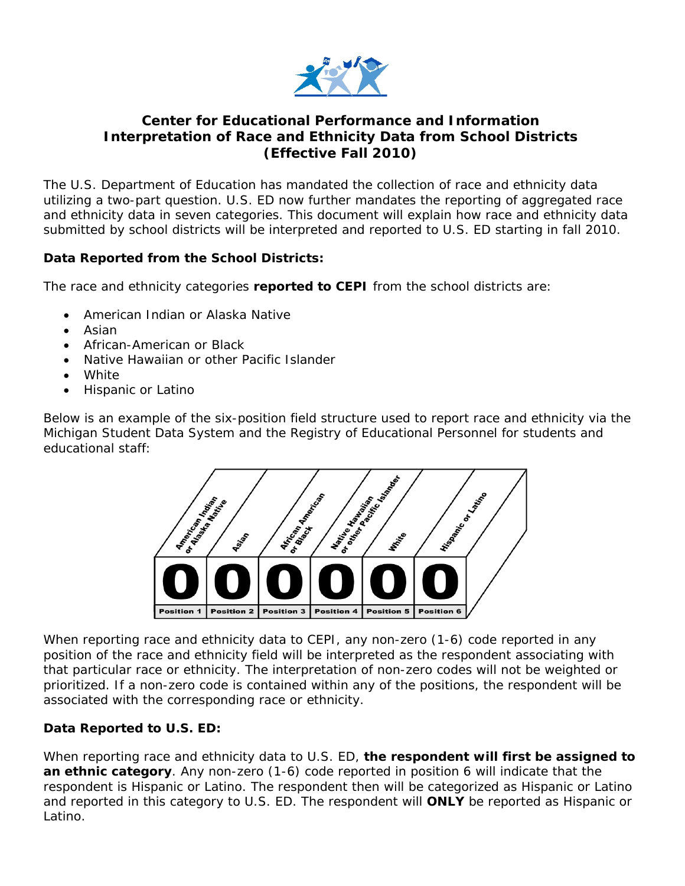

## **Center for Educational Performance and Information Interpretation of Race and Ethnicity Data from School Districts (Effective Fall 2010)**

The U.S. Department of Education has mandated the collection of race and ethnicity data utilizing a two-part question. U.S. ED now further mandates the reporting of aggregated race and ethnicity data in seven categories. This document will explain how race and ethnicity data submitted by school districts will be interpreted and reported to U.S. ED starting in fall 2010.

## **Data Reported from the School Districts:**

The race and ethnicity categories **reported to CEPI** from the school districts are:

- American Indian or Alaska Native
- Asian
- African-American or Black
- Native Hawaiian or other Pacific Islander
- White
- Hispanic or Latino

Below is an example of the six-position field structure used to report race and ethnicity via the Michigan Student Data System and the Registry of Educational Personnel for students and educational staff:



When reporting race and ethnicity data to CEPI, any non-zero (1-6) code reported in any position of the race and ethnicity field will be interpreted as the respondent associating with that particular race or ethnicity. The interpretation of non-zero codes will not be weighted or prioritized. If a non-zero code is contained within any of the positions, the respondent will be associated with the corresponding race or ethnicity.

## **Data Reported to U.S. ED:**

When reporting race and ethnicity data to U.S. ED, **the respondent will first be assigned to an ethnic category**. Any non-zero (1-6) code reported in position 6 will indicate that the respondent is Hispanic or Latino. The respondent then will be categorized as Hispanic or Latino and reported in this category to U.S. ED. The respondent will **ONLY** be reported as Hispanic or Latino.